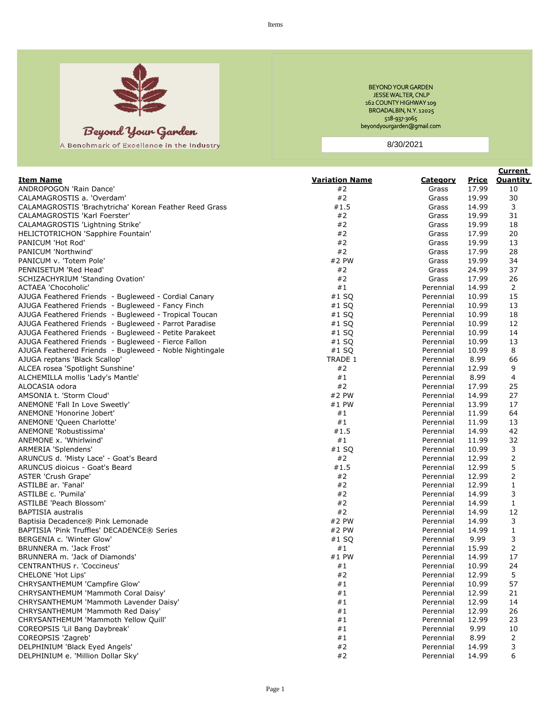

Beyond Your Garden

A Benohmark of Excellence in the Industry

BEYOND YOUR GARDEN JESSE WALTER, CNLP 162 COUNTY HIGHWAY 109 BROADALBIN, N.Y. 12025 518-937-3065 beyondyourgarden@gmail.com

8/30/2021

|                                                                       |                       |                 |                | <b>Current</b>  |
|-----------------------------------------------------------------------|-----------------------|-----------------|----------------|-----------------|
| <u>Item Name</u>                                                      | <b>Variation Name</b> | <u>Category</u> | <u>Price</u>   | <b>Quantity</b> |
| ANDROPOGON 'Rain Dance'                                               | #2                    | Grass           | 17.99          | 10              |
| CALAMAGROSTIS a. 'Overdam'                                            | #2                    | Grass           | 19.99          | 30              |
| CALAMAGROSTIS 'Brachytricha' Korean Feather Reed Grass                | #1.5                  | Grass           | 14.99          | 3               |
| CALAMAGROSTIS 'Karl Foerster'                                         | #2                    | Grass           | 19.99          | 31              |
| CALAMAGROSTIS 'Lightning Strike'                                      | #2                    | Grass           | 19.99          | 18              |
| HELICTOTRICHON 'Sapphire Fountain'                                    | #2                    | Grass           | 17.99          | 20              |
| PANICUM 'Hot Rod'                                                     | #2                    | Grass           | 19.99          | 13              |
| PANICUM 'Northwind'                                                   | #2                    | Grass           | 17.99          | 28              |
| PANICUM v. 'Totem Pole'                                               | #2 PW                 | Grass           | 19.99          | 34              |
| PENNISETUM 'Red Head'                                                 | #2                    | Grass           | 24.99          | 37              |
| SCHIZACHYRIUM 'Standing Ovation'                                      | #2                    | Grass           | 17.99          | 26              |
| ACTAEA 'Chocoholic'                                                   | #1                    | Perennial       | 14.99          | 2               |
| AJUGA Feathered Friends - Bugleweed - Cordial Canary                  | #1 SQ                 | Perennial       | 10.99          | 15              |
| AJUGA Feathered Friends - Bugleweed - Fancy Finch                     | $#1$ SQ               | Perennial       | 10.99          | 13              |
| AJUGA Feathered Friends - Bugleweed - Tropical Toucan                 | $#1$ SQ               | Perennial       | 10.99          | 18              |
| AJUGA Feathered Friends - Bugleweed - Parrot Paradise                 | $#1$ SQ               | Perennial       | 10.99          | 12              |
| AJUGA Feathered Friends - Bugleweed - Petite Parakeet                 | $#1$ SQ               | Perennial       | 10.99          | 14              |
| AJUGA Feathered Friends - Bugleweed - Fierce Fallon                   | $#1$ SQ               | Perennial       | 10.99          | 13              |
| AJUGA Feathered Friends - Bugleweed - Noble Nightingale               | $#1$ SQ               | Perennial       | 10.99          | 8               |
| AJUGA reptans 'Black Scallop'                                         | TRADE 1               | Perennial       | 8.99           | 66              |
| ALCEA rosea 'Spotlight Sunshine'                                      | #2                    | Perennial       | 12.99          | 9               |
| ALCHEMILLA mollis 'Lady's Mantle'                                     | #1                    | Perennial       | 8.99           | 4               |
| ALOCASIA odora                                                        | #2                    | Perennial       | 17.99          | 25              |
| AMSONIA t. 'Storm Cloud'                                              | #2 PW                 | Perennial       | 14.99          | 27              |
| ANEMONE 'Fall In Love Sweetly'                                        | #1 PW                 | Perennial       | 13.99          | 17              |
| ANEMONE 'Honorine Jobert'                                             | #1                    | Perennial       | 11.99          | 64              |
| ANEMONE 'Queen Charlotte'                                             | #1                    | Perennial       | 11.99          | 13              |
| ANEMONE 'Robustissima'                                                | #1.5                  | Perennial       | 14.99          | 42              |
| ANEMONE x. 'Whirlwind'                                                | #1                    | Perennial       | 11.99          | 32              |
| ARMERIA 'Splendens'                                                   | #1 SQ                 | Perennial       | 10.99          | 3               |
| ARUNCUS d. 'Misty Lace' - Goat's Beard                                | #2                    | Perennial       | 12.99          | 2               |
| ARUNCUS dioicus - Goat's Beard                                        | #1.5                  | Perennial       | 12.99          | 5               |
| <b>ASTER 'Crush Grape'</b>                                            | #2                    | Perennial       | 12.99          | 2               |
| ASTILBE ar. 'Fanal'                                                   | #2                    | Perennial       | 12.99          | $\mathbf{1}$    |
| ASTILBE c. 'Pumila'                                                   | #2                    | Perennial       | 14.99          | 3               |
| ASTILBE 'Peach Blossom'                                               | #2                    | Perennial       | 14.99          | $\mathbf{1}$    |
| <b>BAPTISIA</b> australis                                             | #2                    | Perennial       | 14.99          | 12              |
| Baptisia Decadence® Pink Lemonade                                     | #2 PW                 | Perennial       | 14.99          | 3               |
| BAPTISIA 'Pink Truffles' DECADENCE® Series                            | #2 PW                 | Perennial       | 14.99          | $\mathbf{1}$    |
| BERGENIA c. 'Winter Glow'                                             | $#1$ SQ               | Perennial       | 9.99           | 3               |
| BRUNNERA m. 'Jack Frost'                                              | #1                    | Perennial       | 15.99          | 2               |
| BRUNNERA m. 'Jack of Diamonds'                                        | #1 PW                 | Perennial       | 14.99          | 17              |
| <b>CENTRANTHUS r. 'Coccineus'</b>                                     | #1                    | Perennial       | 10.99          | 24              |
| <b>CHELONE 'Hot Lips'</b>                                             | #2                    | Perennial       | 12.99          | 5               |
| CHRYSANTHEMUM 'Campfire Glow'                                         | #1                    | Perennial       | 10.99          | 57              |
| CHRYSANTHEMUM 'Mammoth Coral Daisy'                                   | #1                    | Perennial       | 12.99          | 21              |
| CHRYSANTHEMUM 'Mammoth Lavender Daisy'                                | #1                    | Perennial       | 12.99          | 14              |
|                                                                       |                       |                 |                | 26              |
| CHRYSANTHEMUM 'Mammoth Red Daisy'                                     | #1                    | Perennial       | 12.99<br>12.99 | 23              |
| CHRYSANTHEMUM 'Mammoth Yellow Quill'<br>COREOPSIS 'Lil Bang Daybreak' | #1<br>#1              | Perennial       | 9.99           | 10              |
|                                                                       |                       | Perennial       |                |                 |
| COREOPSIS 'Zagreb'<br>DELPHINIUM 'Black Eyed Angels'                  | #1<br>#2              | Perennial       | 8.99<br>14.99  | 2<br>3          |
|                                                                       |                       | Perennial       |                |                 |
| DELPHINIUM e. 'Million Dollar Sky'                                    | #2                    | Perennial       | 14.99          | 6               |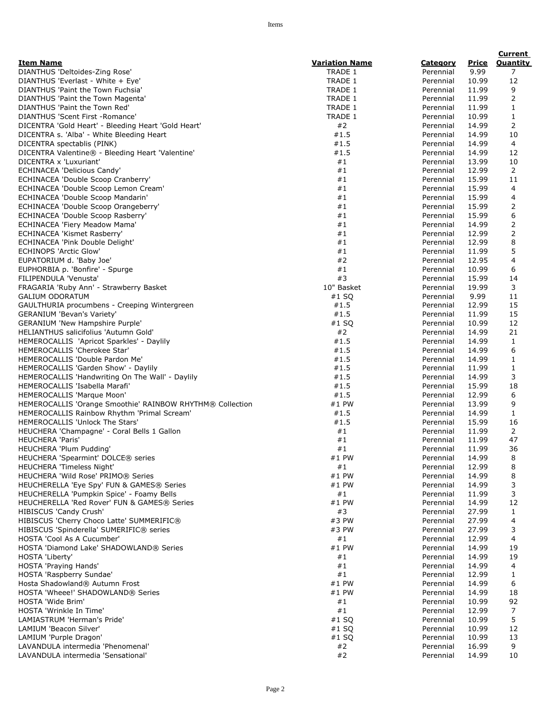|                                                                       |                       |           |                | <b>Current</b>  |
|-----------------------------------------------------------------------|-----------------------|-----------|----------------|-----------------|
| <b>Item Name</b>                                                      | <b>Variation Name</b> | Category  | Price          | <b>Quantity</b> |
| DIANTHUS 'Deltoides-Zing Rose'                                        | TRADE 1               | Perennial | 9.99           | 7               |
| DIANTHUS 'Everlast - White + Eye'                                     | TRADE 1               | Perennial | 10.99          | 12              |
| DIANTHUS 'Paint the Town Fuchsia'                                     | TRADE 1               | Perennial | 11.99          | 9               |
| DIANTHUS 'Paint the Town Magenta'                                     | TRADE 1               | Perennial | 11.99          | 2               |
| DIANTHUS 'Paint the Town Red'                                         | TRADE 1               | Perennial | 11.99          | $\mathbf{1}$    |
| DIANTHUS 'Scent First - Romance'                                      | <b>TRADE 1</b>        | Perennial | 10.99          | $\mathbf{1}$    |
| DICENTRA 'Gold Heart' - Bleeding Heart 'Gold Heart'                   | #2                    | Perennial | 14.99          | 2               |
| DICENTRA s. 'Alba' - White Bleeding Heart                             | #1.5                  | Perennial | 14.99          | 10              |
| DICENTRA spectablis (PINK)                                            | #1.5                  | Perennial | 14.99          | 4               |
| DICENTRA Valentine® - Bleeding Heart 'Valentine'                      | #1.5                  | Perennial | 14.99          | 12              |
| DICENTRA x 'Luxuriant'                                                | #1                    | Perennial | 13.99          | 10              |
| ECHINACEA 'Delicious Candy'                                           | #1                    | Perennial | 12.99          | 2               |
| ECHINACEA 'Double Scoop Cranberry'                                    | #1                    | Perennial | 15.99          | 11              |
| ECHINACEA 'Double Scoop Lemon Cream'                                  | #1                    | Perennial | 15.99          | 4               |
| ECHINACEA 'Double Scoop Mandarin'                                     | #1                    | Perennial | 15.99          | 4               |
| ECHINACEA 'Double Scoop Orangeberry'                                  | #1                    | Perennial | 15.99          | 2               |
| ECHINACEA 'Double Scoop Rasberry'                                     | #1                    | Perennial | 15.99          | 6               |
| ECHINACEA 'Fiery Meadow Mama'                                         | #1                    | Perennial | 14.99          | 2               |
| ECHINACEA 'Kismet Rasberry'                                           | #1                    | Perennial | 12.99          | $\overline{2}$  |
| ECHINACEA 'Pink Double Delight'                                       | #1                    | Perennial | 12.99          | 8               |
| <b>ECHINOPS 'Arctic Glow'</b>                                         | #1                    | Perennial | 11.99          | 5               |
| EUPATORIUM d. 'Baby Joe'                                              | #2                    | Perennial | 12.95          | 4               |
| EUPHORBIA p. 'Bonfire' - Spurge                                       | #1                    | Perennial | 10.99          | 6               |
| FILIPENDULA 'Venusta'                                                 | #3                    | Perennial | 15.99          | 14              |
| FRAGARIA 'Ruby Ann' - Strawberry Basket                               | 10" Basket            | Perennial | 19.99          | 3               |
| <b>GALIUM ODORATUM</b>                                                | $#1$ SQ               | Perennial | 9.99           | 11              |
| GAULTHURIA procumbens - Creeping Wintergreen                          | #1.5                  | Perennial | 12.99          | 15              |
| <b>GERANIUM 'Bevan's Variety'</b>                                     | #1.5                  | Perennial | 11.99          | 15              |
| GERANIUM 'New Hampshire Purple'                                       | $#1$ SQ               | Perennial | 10.99          | 12              |
| HELIANTHUS salicifolius 'Autumn Gold'                                 | #2                    | Perennial | 14.99          | 21              |
| HEMEROCALLIS 'Apricot Sparkles' - Daylily                             | #1.5                  | Perennial | 14.99          | 1               |
| HEMEROCALLIS 'Cherokee Star'                                          | #1.5                  | Perennial | 14.99          | 6               |
| HEMEROCALLIS 'Double Pardon Me'                                       | #1.5                  | Perennial | 14.99          | $\mathbf{1}$    |
| HEMEROCALLIS 'Garden Show' - Daylily                                  | #1.5                  | Perennial | 11.99          | $\mathbf{1}$    |
| HEMEROCALLIS 'Handwriting On The Wall' - Daylily                      | #1.5                  | Perennial | 14.99          | 3               |
| HEMEROCALLIS 'Isabella Marafi'                                        | #1.5                  | Perennial | 15.99          | 18              |
| <b>HEMEROCALLIS 'Marque Moon'</b>                                     | #1.5                  | Perennial | 12.99          | 6               |
| HEMEROCALLIS 'Orange Smoothie' RAINBOW RHYTHM® Collection             | #1 PW                 | Perennial | 13.99          | 9               |
| HEMEROCALLIS Rainbow Rhythm 'Primal Scream'                           | #1.5                  | Perennial | 14.99          | $\mathbf{1}$    |
| HEMEROCALLIS 'Unlock The Stars'                                       | #1.5                  | Perennial | 15.99          | 16              |
| HEUCHERA 'Champagne' - Coral Bells 1 Gallon                           | #1                    | Perennial | 11.99          | 2               |
| HEUCHERA 'Paris'                                                      | #1                    | Perennial | 11.99          | 47              |
| HEUCHERA 'Plum Pudding'                                               | #1                    | Perennial | 11.99          | 36              |
| HEUCHERA 'Spearmint' DOLCE® series                                    | #1 PW                 | Perennial | 14.99          | 8               |
| HEUCHERA 'Timeless Night'                                             | #1                    | Perennial | 12.99          | 8               |
| HEUCHERA 'Wild Rose' PRIMO® Series                                    | $#1$ PW               | Perennial | 14.99          | 8               |
| HEUCHERELLA 'Eye Spy' FUN & GAMES® Series                             | $#1$ PW               | Perennial | 14.99          | 3               |
| HEUCHERELLA 'Pumpkin Spice' - Foamy Bells                             | #1                    | Perennial | 11.99          | 3               |
| HEUCHERELLA 'Red Rover' FUN & GAMES® Series                           | $#1$ PW               | Perennial | 14.99          | 12              |
| HIBISCUS 'Candy Crush'                                                | #3                    | Perennial | 27.99          | $\mathbf{1}$    |
| HIBISCUS 'Cherry Choco Latte' SUMMERIFIC®                             | #3 PW                 | Perennial | 27.99          | 4               |
| HIBISCUS 'Spinderella' SUMERIFIC® series                              | #3 PW                 | Perennial | 27.99          | 3               |
|                                                                       |                       | Perennial |                | 4               |
| HOSTA 'Cool As A Cucumber'<br>HOSTA 'Diamond Lake' SHADOWLAND® Series | #1<br>$#1$ PW         |           | 12.99<br>14.99 | 19              |
|                                                                       |                       | Perennial |                |                 |
| HOSTA 'Liberty'<br>HOSTA 'Praying Hands'                              | #1                    | Perennial | 14.99          | 19              |
|                                                                       | #1                    | Perennial | 14.99          | 4               |
| HOSTA 'Raspberry Sundae'                                              | #1                    | Perennial | 12.99          | $\mathbf{1}$    |
| Hosta Shadowland® Autumn Frost                                        | $#1$ PW               | Perennial | 14.99          | 6               |
| HOSTA 'Wheee!' SHADOWLAND® Series                                     | $#1$ PW               | Perennial | 14.99          | 18              |
| HOSTA 'Wide Brim'                                                     | #1                    | Perennial | 10.99          | 92              |
| HOSTA 'Wrinkle In Time'                                               | #1                    | Perennial | 12.99          | $\overline{7}$  |
| LAMIASTRUM 'Herman's Pride'                                           | $#1$ SQ               | Perennial | 10.99          | 5               |
| LAMIUM 'Beacon Silver'                                                | $#1$ SQ               | Perennial | 10.99          | 12              |
| LAMIUM 'Purple Dragon'                                                | $#1$ SQ               | Perennial | 10.99          | 13              |
| LAVANDULA intermedia 'Phenomenal'                                     | #2                    | Perennial | 16.99          | 9               |
| LAVANDULA intermedia 'Sensational'                                    | #2                    | Perennial | 14.99          | 10              |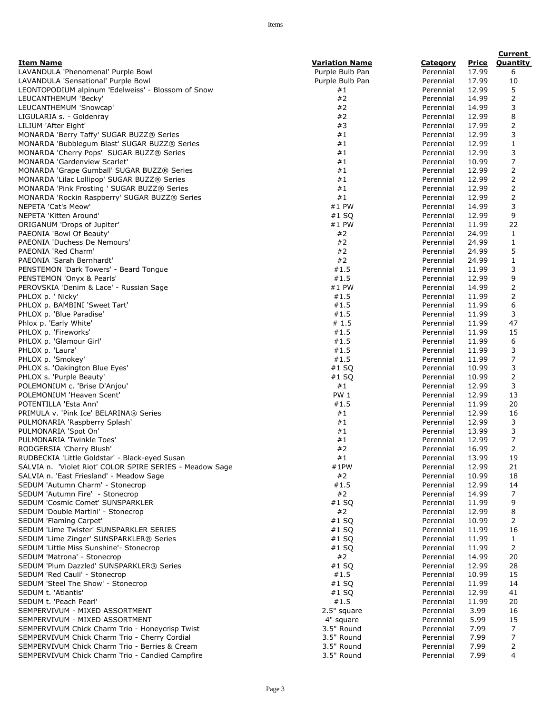|                                                                          |                       |                        |                | <b>Current</b> |
|--------------------------------------------------------------------------|-----------------------|------------------------|----------------|----------------|
| <b>Item Name</b>                                                         | <u>Variation Name</u> | <u>Category</u>        | <u>Price</u>   | Quantity       |
| LAVANDULA 'Phenomenal' Purple Bowl                                       | Purple Bulb Pan       | Perennial              | 17.99          | 6              |
| LAVANDULA 'Sensational' Purple Bowl                                      | Purple Bulb Pan       | Perennial              | 17.99          | 10             |
| LEONTOPODIUM alpinum 'Edelweiss' - Blossom of Snow                       | #1                    | Perennial              | 12.99          | 5              |
| LEUCANTHEMUM 'Becky'                                                     | #2                    | Perennial              | 14.99          | 2              |
| LEUCANTHEMUM 'Snowcap'                                                   | #2                    | Perennial              | 14.99          | 3              |
| LIGULARIA s. - Goldenray                                                 | #2                    | Perennial              | 12.99          | 8              |
| LILIUM 'After Eight'                                                     | #3                    | Perennial              | 17.99          | 2              |
| MONARDA 'Berry Taffy' SUGAR BUZZ® Series                                 | #1                    | Perennial              | 12.99          | 3              |
| MONARDA 'Bubblegum Blast' SUGAR BUZZ® Series                             | #1<br>#1              | Perennial              | 12.99<br>12.99 | 1<br>3         |
| MONARDA 'Cherry Pops' SUGAR BUZZ® Series<br>MONARDA 'Gardenview Scarlet' | #1                    | Perennial<br>Perennial | 10.99          | 7              |
| MONARDA 'Grape Gumball' SUGAR BUZZ® Series                               | #1                    | Perennial              | 12.99          | 2              |
| MONARDA 'Lilac Lollipop' SUGAR BUZZ® Series                              | #1                    | Perennial              | 12.99          | 2              |
| MONARDA 'Pink Frosting ' SUGAR BUZZ® Series                              | #1                    | Perennial              | 12.99          | 2              |
| MONARDA 'Rockin Raspberry' SUGAR BUZZ® Series                            | #1                    | Perennial              | 12.99          | 2              |
| NEPETA 'Cat's Meow'                                                      | #1 PW                 | Perennial              | 14.99          | 3              |
| NEPETA 'Kitten Around'                                                   | $#1$ SQ               | Perennial              | 12.99          | 9              |
| ORIGANUM 'Drops of Jupiter'                                              | #1 PW                 | Perennial              | 11.99          | 22             |
| PAEONIA 'Bowl Of Beauty'                                                 | #2                    | Perennial              | 24.99          | $\mathbf{1}$   |
| PAEONIA 'Duchess De Nemours'                                             | #2                    | Perennial              | 24.99          | $\mathbf{1}$   |
| PAEONIA 'Red Charm'                                                      | #2                    | Perennial              | 24.99          | 5              |
| PAEONIA 'Sarah Bernhardt'                                                | #2                    | Perennial              | 24.99          | $\mathbf{1}$   |
| PENSTEMON 'Dark Towers' - Beard Tongue                                   | #1.5                  | Perennial              | 11.99          | 3              |
| PENSTEMON 'Onyx & Pearls'                                                | #1.5                  | Perennial              | 12.99          | 9              |
| PEROVSKIA 'Denim & Lace' - Russian Sage                                  | #1 PW                 | Perennial              | 14.99          | 2              |
| PHLOX p. ' Nicky'                                                        | #1.5                  | Perennial              | 11.99          | 2              |
| PHLOX p. BAMBINI 'Sweet Tart'                                            | #1.5                  | Perennial              | 11.99          | 6              |
| PHLOX p. 'Blue Paradise'                                                 | #1.5                  | Perennial              | 11.99          | 3              |
| Phlox p. 'Early White'                                                   | #1.5                  | Perennial              | 11.99          | 47             |
| PHLOX p. 'Fireworks'                                                     | #1.5                  | Perennial              | 11.99          | 15             |
| PHLOX p. 'Glamour Girl'                                                  | #1.5                  | Perennial              | 11.99          | 6              |
| PHLOX p. 'Laura'                                                         | #1.5                  | Perennial              | 11.99          | 3              |
| PHLOX p. 'Smokey'                                                        | #1.5                  | Perennial              | 11.99          | 7              |
| PHLOX s. 'Oakington Blue Eyes'                                           | #1 SQ                 | Perennial              | 10.99          | 3              |
| PHLOX s. 'Purple Beauty'                                                 | $#1$ SQ<br>#1         | Perennial              | 10.99          | 2<br>3         |
| POLEMONIUM c. 'Brise D'Anjou'<br>POLEMONIUM 'Heaven Scent'               | <b>PW 1</b>           | Perennial<br>Perennial | 12.99<br>12.99 | 13             |
| POTENTILLA 'Esta Ann'                                                    | #1.5                  | Perennial              | 11.99          | 20             |
| PRIMULA v. 'Pink Ice' BELARINA® Series                                   | #1                    | Perennial              | 12.99          | 16             |
| PULMONARIA 'Raspberry Splash'                                            | #1                    | Perennial              | 12.99          | 3              |
| PULMONARIA 'Spot On'                                                     | #1                    | Perennial              | 13.99          | 3              |
| PULMONARIA 'Twinkle Toes'                                                | #1                    | Perennial              | 12.99          | 7              |
| RODGERSIA 'Cherry Blush'                                                 | #2                    | Perennial              | 16.99          | 2              |
| RUDBECKIA 'Little Goldstar' - Black-eyed Susan                           | #1                    | Perennial              | 13.99          | 19             |
| SALVIA n. 'Violet Riot' COLOR SPIRE SERIES - Meadow Sage                 | #1PW                  | Perennial              | 12.99          | 21             |
| SALVIA n. 'East Friesland' - Meadow Sage                                 | #2                    | Perennial              | 10.99          | 18             |
| SEDUM 'Autumn Charm' - Stonecrop                                         | #1.5                  | Perennial              | 12.99          | 14             |
| SEDUM 'Autumn Fire' - Stonecrop                                          | #2                    | Perennial              | 14.99          | 7              |
| SEDUM 'Cosmic Comet' SUNSPARKLER                                         | $#1$ SQ               | Perennial              | 11.99          | 9              |
| SEDUM 'Double Martini' - Stonecrop                                       | #2                    | Perennial              | 12.99          | 8              |
| SEDUM 'Flaming Carpet'                                                   | #1 SQ                 | Perennial              | 10.99          | 2              |
| SEDUM 'Lime Twister' SUNSPARKLER SERIES                                  | $#1$ SQ               | Perennial              | 11.99          | 16             |
| SEDUM 'Lime Zinger' SUNSPARKLER® Series                                  | $#1$ SQ               | Perennial              | 11.99          | $\mathbf{1}$   |
| SEDUM 'Little Miss Sunshine'- Stonecrop                                  | $#1$ SQ               | Perennial              | 11.99          | 2              |
| SEDUM 'Matrona' - Stonecrop                                              | #2                    | Perennial              | 14.99          | 20             |
| SEDUM 'Plum Dazzled' SUNSPARKLER® Series                                 | #1 SQ                 | Perennial              | 12.99          | 28             |
| SEDUM 'Red Cauli' - Stonecrop                                            | #1.5                  | Perennial              | 10.99          | 15             |
| SEDUM 'Steel The Show' - Stonecrop                                       | $#1$ SQ               | Perennial              | 11.99          | 14             |
| SEDUM t. 'Atlantis'                                                      | #1 SQ<br>#1.5         | Perennial              | 12.99<br>11.99 | 41<br>20       |
| SEDUM t. 'Peach Pearl'<br>SEMPERVIVUM - MIXED ASSORTMENT                 | 2.5" square           | Perennial<br>Perennial | 3.99           | 16             |
| SEMPERVIVUM - MIXED ASSORTMENT                                           | 4" square             | Perennial              | 5.99           | 15             |
| SEMPERVIVUM Chick Charm Trio - Honeycrisp Twist                          | 3.5" Round            | Perennial              | 7.99           | 7              |
| SEMPERVIVUM Chick Charm Trio - Cherry Cordial                            | 3.5" Round            | Perennial              | 7.99           | 7              |
| SEMPERVIVUM Chick Charm Trio - Berries & Cream                           | 3.5" Round            | Perennial              | 7.99           | 2              |
| SEMPERVIVUM Chick Charm Trio - Candied Campfire                          | 3.5" Round            | Perennial              | 7.99           | 4              |
|                                                                          |                       |                        |                |                |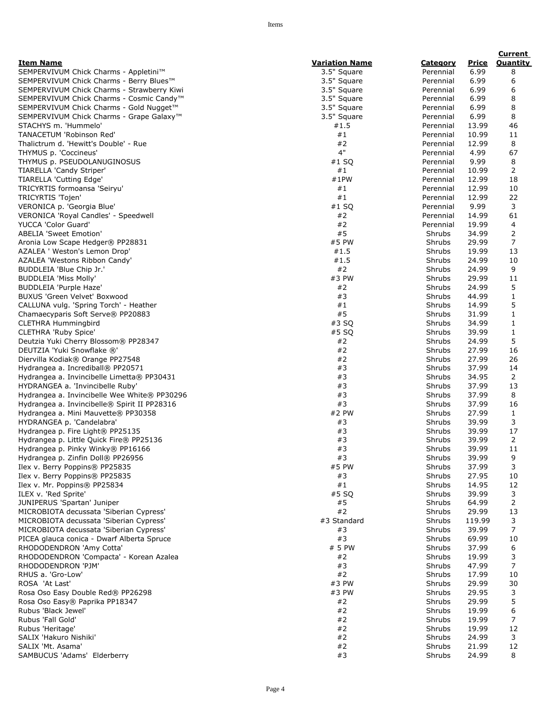|                                                                        |                       |                        |                | <b>Current</b>    |
|------------------------------------------------------------------------|-----------------------|------------------------|----------------|-------------------|
| <b>Item Name</b>                                                       | <b>Variation Name</b> | <b>Category</b>        | <b>Price</b>   | Quantity          |
| SEMPERVIVUM Chick Charms - Appletini™                                  | 3.5" Square           | Perennial              | 6.99           | 8                 |
| SEMPERVIVUM Chick Charms - Berry Blues™                                | 3.5" Square           | Perennial              | 6.99           | 6                 |
| SEMPERVIVUM Chick Charms - Strawberry Kiwi                             | 3.5" Square           | Perennial              | 6.99           | 6                 |
| SEMPERVIVUM Chick Charms - Cosmic Candy <sup>™</sup>                   | 3.5" Square           | Perennial              | 6.99           | 8                 |
| SEMPERVIVUM Chick Charms - Gold Nugget™                                | 3.5" Square           | Perennial              | 6.99           | 8                 |
| SEMPERVIVUM Chick Charms - Grape Galaxy <sup>™</sup>                   | 3.5" Square           | Perennial              | 6.99           | 8                 |
| STACHYS m. 'Hummelo'                                                   | #1.5                  | Perennial              | 13.99          | 46                |
| TANACETUM 'Robinson Red'<br>Thalictrum d. 'Hewitt's Double' - Rue      | #1<br>#2              | Perennial              | 10.99<br>12.99 | 11<br>8           |
| THYMUS p. 'Coccineus'                                                  | 4"                    | Perennial<br>Perennial | 4.99           | 67                |
| THYMUS p. PSEUDOLANUGINOSUS                                            | #1 SQ                 | Perennial              | 9.99           | 8                 |
| TIARELLA 'Candy Striper'                                               | #1                    | Perennial              | 10.99          | 2                 |
| TIARELLA 'Cutting Edge'                                                | #1PW                  | Perennial              | 12.99          | 18                |
| TRICYRTIS formoansa 'Seiryu'                                           | #1                    | Perennial              | 12.99          | 10                |
| TRICYRTIS 'Tojen'                                                      | #1                    | Perennial              | 12.99          | 22                |
| VERONICA p. 'Georgia Blue'                                             | $#1$ SQ               | Perennial              | 9.99           | 3                 |
| VERONICA 'Royal Candles' - Speedwell                                   | #2                    | Perennial              | 14.99          | 61                |
| <b>YUCCA 'Color Guard'</b>                                             | #2                    | Perennial              | 19.99          | 4                 |
| <b>ABELIA 'Sweet Emotion'</b>                                          | #5                    | Shrubs                 | 34.99          | 2                 |
| Aronia Low Scape Hedger® PP28831                                       | #5 PW                 | Shrubs                 | 29.99          | 7                 |
| AZALEA ' Weston's Lemon Drop'                                          | #1.5                  | Shrubs                 | 19.99          | 13                |
| AZALEA 'Westons Ribbon Candy'                                          | #1.5                  | Shrubs                 | 24.99          | 10                |
| BUDDLEIA 'Blue Chip Jr.'                                               | #2                    | Shrubs                 | 24.99          | 9                 |
| BUDDLEIA 'Miss Molly'                                                  | #3 PW                 | Shrubs                 | 29.99          | 11                |
| BUDDLEIA 'Purple Haze'                                                 | #2<br>#3              | Shrubs                 | 24.99<br>44.99 | 5<br>$\mathbf{1}$ |
| BUXUS 'Green Velvet' Boxwood<br>CALLUNA vulg. 'Spring Torch' - Heather | #1                    | Shrubs<br>Shrubs       | 14.99          | 5                 |
| Chamaecyparis Soft Serve® PP20883                                      | #5                    | Shrubs                 | 31.99          | $\mathbf{1}$      |
| <b>CLETHRA Hummingbird</b>                                             | #3 SQ                 | Shrubs                 | 34.99          | $\mathbf{1}$      |
| <b>CLETHRA 'Ruby Spice'</b>                                            | #5 SQ                 | Shrubs                 | 39.99          | $\mathbf{1}$      |
| Deutzia Yuki Cherry Blossom® PP28347                                   | #2                    | Shrubs                 | 24.99          | 5                 |
| DEUTZIA 'Yuki Snowflake ®'                                             | #2                    | Shrubs                 | 27.99          | 16                |
| Diervilla Kodiak® Orange PP27548                                       | #2                    | Shrubs                 | 27.99          | 26                |
| Hydrangea a. Incrediball® PP20571                                      | #3                    | Shrubs                 | 37.99          | 14                |
| Hydrangea a. Invincibelle Limetta® PP30431                             | #3                    | Shrubs                 | 34.95          | $\overline{2}$    |
| HYDRANGEA a. 'Invincibelle Ruby'                                       | #3                    | Shrubs                 | 37.99          | 13                |
| Hydrangea a. Invincibelle Wee White® PP30296                           | #3                    | Shrubs                 | 37.99          | 8                 |
| Hydrangea a. Invincibelle® Spirit II PP28316                           | #3                    | Shrubs                 | 37.99          | 16                |
| Hydrangea a. Mini Mauvette® PP30358                                    | #2 PW                 | Shrubs                 | 27.99          | 1                 |
| HYDRANGEA p. 'Candelabra'                                              | #3                    | Shrubs                 | 39.99          | 3                 |
| Hydrangea p. Fire Light® PP25135                                       | #3                    | Shrubs                 | 39.99          | 17                |
| Hydrangea p. Little Quick Fire® PP25136                                | #3<br>#3              | Shrubs                 | 39.99<br>39.99 | 2                 |
| Hydrangea p. Pinky Winky® PP16166<br>Hydrangea p. Zinfin Doll® PP26956 | #3                    | Shrubs<br>Shrubs       | 39.99          | 11<br>9           |
| Ilex v. Berry Poppins® PP25835                                         | #5 PW                 | Shrubs                 | 37.99          | 3                 |
| Ilex v. Berry Poppins® PP25835                                         | #3                    | Shrubs                 | 27.95          | 10                |
| Ilex v. Mr. Poppins® PP25834                                           | #1                    | Shrubs                 | 14.95          | 12                |
| ILEX v. 'Red Sprite'                                                   | #5 SQ                 | Shrubs                 | 39.99          | 3                 |
| JUNIPERUS 'Spartan' Juniper                                            | #5                    | Shrubs                 | 64.99          | $\overline{2}$    |
| MICROBIOTA decussata 'Siberian Cypress'                                | #2                    | Shrubs                 | 29.99          | 13                |
| MICROBIOTA decussata 'Siberian Cypress'                                | #3 Standard           | Shrubs                 | 119.99         | 3                 |
| MICROBIOTA decussata 'Siberian Cypress'                                | #3                    | Shrubs                 | 39.99          | 7                 |
| PICEA glauca conica - Dwarf Alberta Spruce                             | #3                    | Shrubs                 | 69.99          | 10                |
| RHODODENDRON 'Amy Cotta'                                               | # 5 PW                | Shrubs                 | 37.99          | 6                 |
| RHODODENDRON 'Compacta' - Korean Azalea                                | #2                    | Shrubs                 | 19.99          | 3                 |
| RHODODENDRON 'PJM'                                                     | #3                    | Shrubs                 | 47.99          | 7                 |
| RHUS a. 'Gro-Low'                                                      | #2                    | Shrubs                 | 17.99          | 10                |
| ROSA 'At Last'<br>Rosa Oso Easy Double Red® PP26298                    | #3 PW<br>#3 PW        | Shrubs                 | 29.99<br>29.95 | 30<br>3           |
|                                                                        | #2                    | Shrubs<br>Shrubs       | 29.99          | 5                 |
| Rosa Oso Easy® Paprika PP18347<br>Rubus 'Black Jewel'                  | #2                    | Shrubs                 | 19.99          | 6                 |
| Rubus 'Fall Gold'                                                      | #2                    | Shrubs                 | 19.99          | 7                 |
| Rubus 'Heritage'                                                       | #2                    | Shrubs                 | 19.99          | 12                |
| SALIX 'Hakuro Nishiki'                                                 | #2                    | Shrubs                 | 24.99          | 3                 |
| SALIX 'Mt. Asama'                                                      | #2                    | Shrubs                 | 21.99          | 12                |
| SAMBUCUS 'Adams' Elderberry                                            | #3                    | Shrubs                 | 24.99          | 8                 |